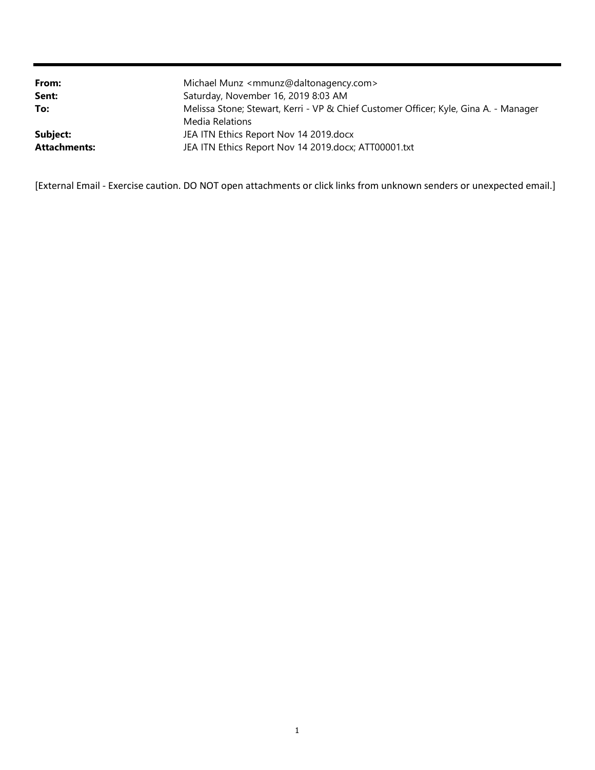| From:<br>Sent:      | Michael Munz <mmunz@daltonagency.com><br/>Saturday, November 16, 2019 8:03 AM</mmunz@daltonagency.com> |
|---------------------|--------------------------------------------------------------------------------------------------------|
| To:                 | Melissa Stone; Stewart, Kerri - VP & Chief Customer Officer; Kyle, Gina A. - Manager                   |
|                     | Media Relations                                                                                        |
| Subject:            | JEA ITN Ethics Report Nov 14 2019.docx                                                                 |
| <b>Attachments:</b> | JEA ITN Ethics Report Nov 14 2019.docx; ATT00001.txt                                                   |

[External Email - Exercise caution. DO NOT open attachments or click links from unknown senders or unexpected email.]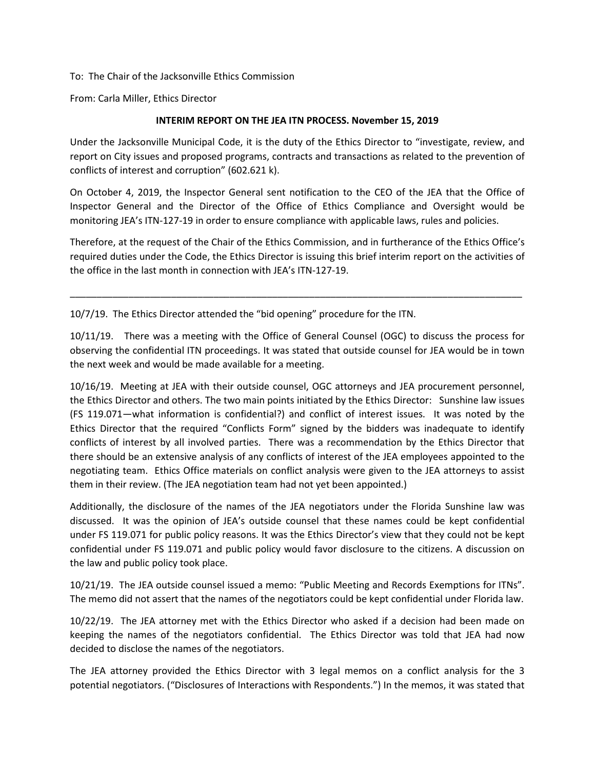To: The Chair of the Jacksonville Ethics Commission

From: Carla Miller, Ethics Director

## **INTERIM REPORT ON THE JEA ITN PROCESS. November 15, 2019**

Under the Jacksonville Municipal Code, it is the duty of the Ethics Director to "investigate, review, and report on City issues and proposed programs, contracts and transactions as related to the prevention of conflicts of interest and corruption" (602.621 k).

On October 4, 2019, the Inspector General sent notification to the CEO of the JEA that the Office of Inspector General and the Director of the Office of Ethics Compliance and Oversight would be monitoring JEA's ITN-127-19 in order to ensure compliance with applicable laws, rules and policies.

Therefore, at the request of the Chair of the Ethics Commission, and in furtherance of the Ethics Office's required duties under the Code, the Ethics Director is issuing this brief interim report on the activities of the office in the last month in connection with JEA's ITN-127-19.

\_\_\_\_\_\_\_\_\_\_\_\_\_\_\_\_\_\_\_\_\_\_\_\_\_\_\_\_\_\_\_\_\_\_\_\_\_\_\_\_\_\_\_\_\_\_\_\_\_\_\_\_\_\_\_\_\_\_\_\_\_\_\_\_\_\_\_\_\_\_\_\_\_\_\_\_\_\_\_\_\_\_\_\_\_

10/7/19. The Ethics Director attended the "bid opening" procedure for the ITN.

10/11/19. There was a meeting with the Office of General Counsel (OGC) to discuss the process for observing the confidential ITN proceedings. It was stated that outside counsel for JEA would be in town the next week and would be made available for a meeting.

10/16/19. Meeting at JEA with their outside counsel, OGC attorneys and JEA procurement personnel, the Ethics Director and others. The two main points initiated by the Ethics Director: Sunshine law issues (FS 119.071—what information is confidential?) and conflict of interest issues. It was noted by the Ethics Director that the required "Conflicts Form" signed by the bidders was inadequate to identify conflicts of interest by all involved parties. There was a recommendation by the Ethics Director that there should be an extensive analysis of any conflicts of interest of the JEA employees appointed to the negotiating team. Ethics Office materials on conflict analysis were given to the JEA attorneys to assist them in their review. (The JEA negotiation team had not yet been appointed.)

Additionally, the disclosure of the names of the JEA negotiators under the Florida Sunshine law was discussed. It was the opinion of JEA's outside counsel that these names could be kept confidential under FS 119.071 for public policy reasons. It was the Ethics Director's view that they could not be kept confidential under FS 119.071 and public policy would favor disclosure to the citizens. A discussion on the law and public policy took place.

10/21/19. The JEA outside counsel issued a memo: "Public Meeting and Records Exemptions for ITNs". The memo did not assert that the names of the negotiators could be kept confidential under Florida law.

10/22/19. The JEA attorney met with the Ethics Director who asked if a decision had been made on keeping the names of the negotiators confidential. The Ethics Director was told that JEA had now decided to disclose the names of the negotiators.

The JEA attorney provided the Ethics Director with 3 legal memos on a conflict analysis for the 3 potential negotiators. ("Disclosures of Interactions with Respondents.") In the memos, it was stated that